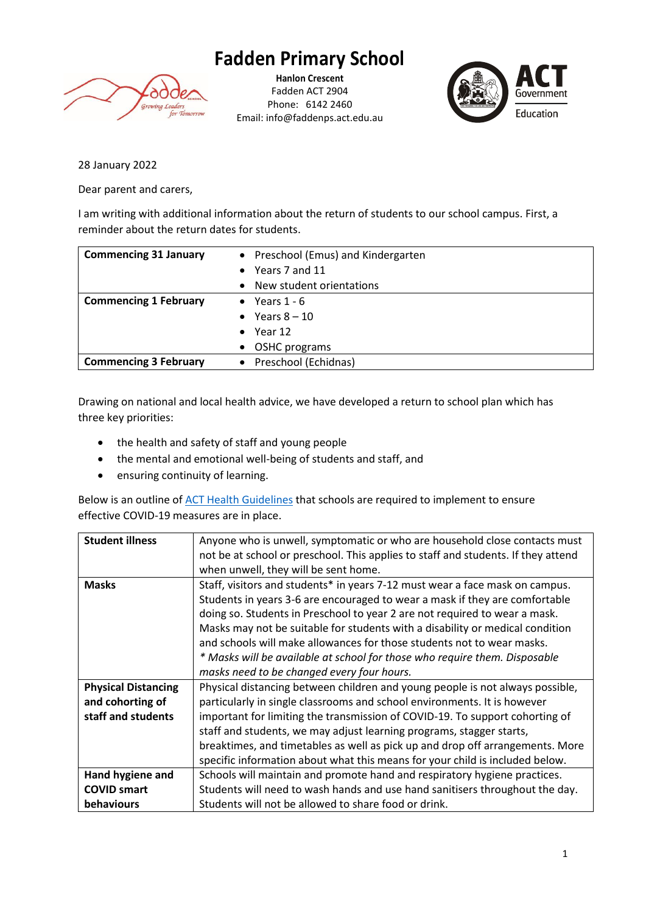## **Fadden Primary School**



**Hanlon Crescent** Fadden ACT 2904 Phone: 6142 2460 Email: info@faddenps.act.edu.au



28 January 2022

Dear parent and carers,

I am writing with additional information about the return of students to our school campus. First, a reminder about the return dates for students.

| <b>Commencing 31 January</b> | • Preschool (Emus) and Kindergarten |
|------------------------------|-------------------------------------|
|                              | • Years 7 and 11                    |
|                              | New student orientations            |
| <b>Commencing 1 February</b> | • Years $1 - 6$                     |
|                              | • Years $8-10$                      |
|                              | $\bullet$ Year 12                   |
|                              | • OSHC programs                     |
| <b>Commencing 3 February</b> | • Preschool (Echidnas)              |

Drawing on national and local health advice, we have developed a return to school plan which has three key priorities:

- the health and safety of staff and young people
- the mental and emotional well-being of students and staff, and
- ensuring continuity of learning.

Below is an outline o[f ACT Health Guidelines](https://www.education.act.gov.au/__data/assets/pdf_file/0003/1935444/January-2022-Health-Guidelines-for-Schools-and-ECEC.pdf) that schools are required to implement to ensure effective COVID-19 measures are in place.

| <b>Student illness</b>     | Anyone who is unwell, symptomatic or who are household close contacts must        |  |
|----------------------------|-----------------------------------------------------------------------------------|--|
|                            | not be at school or preschool. This applies to staff and students. If they attend |  |
|                            | when unwell, they will be sent home.                                              |  |
| <b>Masks</b>               | Staff, visitors and students* in years 7-12 must wear a face mask on campus.      |  |
|                            | Students in years 3-6 are encouraged to wear a mask if they are comfortable       |  |
|                            | doing so. Students in Preschool to year 2 are not required to wear a mask.        |  |
|                            | Masks may not be suitable for students with a disability or medical condition     |  |
|                            | and schools will make allowances for those students not to wear masks.            |  |
|                            | * Masks will be available at school for those who require them. Disposable        |  |
|                            | masks need to be changed every four hours.                                        |  |
| <b>Physical Distancing</b> | Physical distancing between children and young people is not always possible,     |  |
| and cohorting of           | particularly in single classrooms and school environments. It is however          |  |
| staff and students         | important for limiting the transmission of COVID-19. To support cohorting of      |  |
|                            | staff and students, we may adjust learning programs, stagger starts,              |  |
|                            | breaktimes, and timetables as well as pick up and drop off arrangements. More     |  |
|                            | specific information about what this means for your child is included below.      |  |
| Hand hygiene and           | Schools will maintain and promote hand and respiratory hygiene practices.         |  |
| <b>COVID smart</b>         | Students will need to wash hands and use hand sanitisers throughout the day.      |  |
| behaviours                 | Students will not be allowed to share food or drink.                              |  |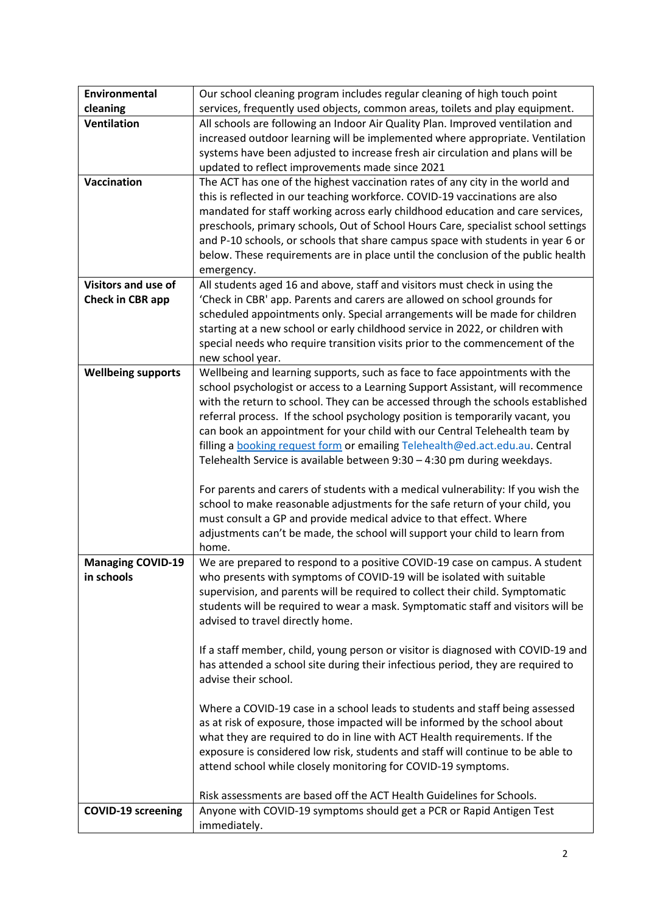| Environmental             | Our school cleaning program includes regular cleaning of high touch point                                                                                |  |  |  |
|---------------------------|----------------------------------------------------------------------------------------------------------------------------------------------------------|--|--|--|
| cleaning                  | services, frequently used objects, common areas, toilets and play equipment.                                                                             |  |  |  |
| <b>Ventilation</b>        | All schools are following an Indoor Air Quality Plan. Improved ventilation and                                                                           |  |  |  |
|                           | increased outdoor learning will be implemented where appropriate. Ventilation                                                                            |  |  |  |
|                           | systems have been adjusted to increase fresh air circulation and plans will be                                                                           |  |  |  |
|                           | updated to reflect improvements made since 2021                                                                                                          |  |  |  |
| Vaccination               | The ACT has one of the highest vaccination rates of any city in the world and                                                                            |  |  |  |
|                           | this is reflected in our teaching workforce. COVID-19 vaccinations are also                                                                              |  |  |  |
|                           | mandated for staff working across early childhood education and care services,                                                                           |  |  |  |
|                           | preschools, primary schools, Out of School Hours Care, specialist school settings                                                                        |  |  |  |
|                           | and P-10 schools, or schools that share campus space with students in year 6 or                                                                          |  |  |  |
|                           | below. These requirements are in place until the conclusion of the public health                                                                         |  |  |  |
| Visitors and use of       | emergency.<br>All students aged 16 and above, staff and visitors must check in using the                                                                 |  |  |  |
| Check in CBR app          | 'Check in CBR' app. Parents and carers are allowed on school grounds for                                                                                 |  |  |  |
|                           | scheduled appointments only. Special arrangements will be made for children                                                                              |  |  |  |
|                           | starting at a new school or early childhood service in 2022, or children with                                                                            |  |  |  |
|                           | special needs who require transition visits prior to the commencement of the                                                                             |  |  |  |
|                           | new school year.                                                                                                                                         |  |  |  |
| <b>Wellbeing supports</b> | Wellbeing and learning supports, such as face to face appointments with the                                                                              |  |  |  |
|                           | school psychologist or access to a Learning Support Assistant, will recommence                                                                           |  |  |  |
|                           | with the return to school. They can be accessed through the schools established                                                                          |  |  |  |
|                           | referral process. If the school psychology position is temporarily vacant, you                                                                           |  |  |  |
|                           | can book an appointment for your child with our Central Telehealth team by                                                                               |  |  |  |
|                           | filling a booking request form or emailing Telehealth@ed.act.edu.au. Central                                                                             |  |  |  |
|                           | Telehealth Service is available between 9:30 - 4:30 pm during weekdays.                                                                                  |  |  |  |
|                           |                                                                                                                                                          |  |  |  |
|                           | For parents and carers of students with a medical vulnerability: If you wish the                                                                         |  |  |  |
|                           | school to make reasonable adjustments for the safe return of your child, you<br>must consult a GP and provide medical advice to that effect. Where       |  |  |  |
|                           | adjustments can't be made, the school will support your child to learn from                                                                              |  |  |  |
|                           | home.                                                                                                                                                    |  |  |  |
| <b>Managing COVID-19</b>  | We are prepared to respond to a positive COVID-19 case on campus. A student                                                                              |  |  |  |
| in schools                | who presents with symptoms of COVID-19 will be isolated with suitable                                                                                    |  |  |  |
|                           | supervision, and parents will be required to collect their child. Symptomatic                                                                            |  |  |  |
|                           | students will be required to wear a mask. Symptomatic staff and visitors will be                                                                         |  |  |  |
|                           | advised to travel directly home.                                                                                                                         |  |  |  |
|                           |                                                                                                                                                          |  |  |  |
|                           | If a staff member, child, young person or visitor is diagnosed with COVID-19 and                                                                         |  |  |  |
|                           | has attended a school site during their infectious period, they are required to                                                                          |  |  |  |
|                           | advise their school.                                                                                                                                     |  |  |  |
|                           |                                                                                                                                                          |  |  |  |
|                           | Where a COVID-19 case in a school leads to students and staff being assessed                                                                             |  |  |  |
|                           | as at risk of exposure, those impacted will be informed by the school about<br>what they are required to do in line with ACT Health requirements. If the |  |  |  |
|                           | exposure is considered low risk, students and staff will continue to be able to                                                                          |  |  |  |
|                           | attend school while closely monitoring for COVID-19 symptoms.                                                                                            |  |  |  |
|                           |                                                                                                                                                          |  |  |  |
|                           | Risk assessments are based off the ACT Health Guidelines for Schools.                                                                                    |  |  |  |
| <b>COVID-19 screening</b> | Anyone with COVID-19 symptoms should get a PCR or Rapid Antigen Test                                                                                     |  |  |  |
|                           | immediately.                                                                                                                                             |  |  |  |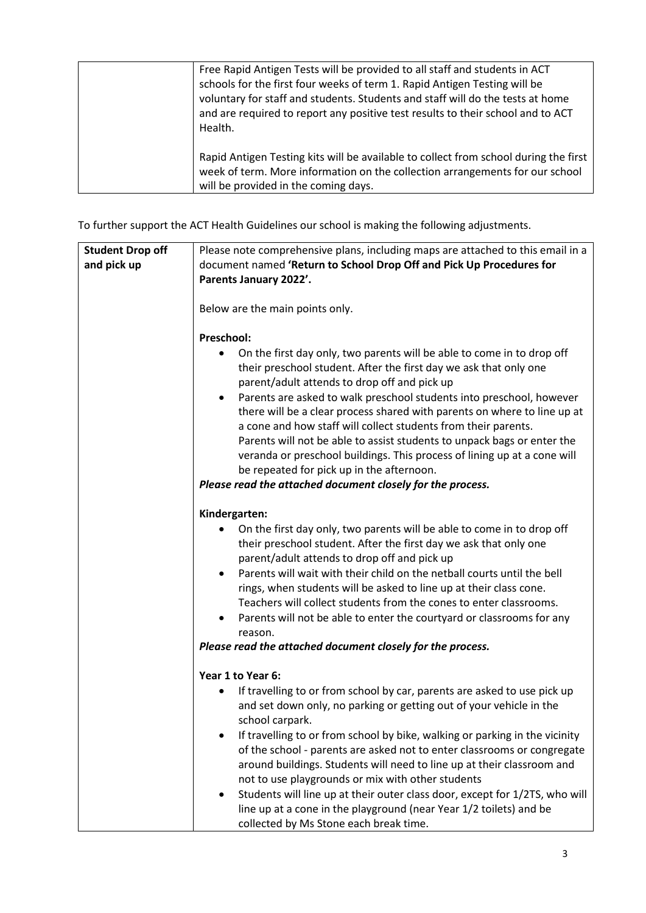| Free Rapid Antigen Tests will be provided to all staff and students in ACT<br>schools for the first four weeks of term 1. Rapid Antigen Testing will be<br>voluntary for staff and students. Students and staff will do the tests at home<br>and are required to report any positive test results to their school and to ACT<br>Health. |
|-----------------------------------------------------------------------------------------------------------------------------------------------------------------------------------------------------------------------------------------------------------------------------------------------------------------------------------------|
| Rapid Antigen Testing kits will be available to collect from school during the first<br>week of term. More information on the collection arrangements for our school<br>will be provided in the coming days.                                                                                                                            |

To further support the ACT Health Guidelines our school is making the following adjustments.

| <b>Student Drop off</b><br>and pick up | Please note comprehensive plans, including maps are attached to this email in a<br>document named 'Return to School Drop Off and Pick Up Procedures for<br>Parents January 2022'.                                                                                                                                                                                                                                                                                                                                                                                                                                                                                                                      |
|----------------------------------------|--------------------------------------------------------------------------------------------------------------------------------------------------------------------------------------------------------------------------------------------------------------------------------------------------------------------------------------------------------------------------------------------------------------------------------------------------------------------------------------------------------------------------------------------------------------------------------------------------------------------------------------------------------------------------------------------------------|
|                                        | Below are the main points only.                                                                                                                                                                                                                                                                                                                                                                                                                                                                                                                                                                                                                                                                        |
|                                        | Preschool:<br>On the first day only, two parents will be able to come in to drop off<br>٠<br>their preschool student. After the first day we ask that only one<br>parent/adult attends to drop off and pick up<br>Parents are asked to walk preschool students into preschool, however<br>there will be a clear process shared with parents on where to line up at<br>a cone and how staff will collect students from their parents.<br>Parents will not be able to assist students to unpack bags or enter the<br>veranda or preschool buildings. This process of lining up at a cone will<br>be repeated for pick up in the afternoon.<br>Please read the attached document closely for the process. |
|                                        | Kindergarten:<br>On the first day only, two parents will be able to come in to drop off<br>their preschool student. After the first day we ask that only one<br>parent/adult attends to drop off and pick up<br>Parents will wait with their child on the netball courts until the bell<br>$\bullet$<br>rings, when students will be asked to line up at their class cone.<br>Teachers will collect students from the cones to enter classrooms.<br>Parents will not be able to enter the courtyard or classrooms for any<br>reason.<br>Please read the attached document closely for the process.                                                                                                     |
|                                        | Year 1 to Year 6:<br>If travelling to or from school by car, parents are asked to use pick up<br>$\bullet$<br>and set down only, no parking or getting out of your vehicle in the<br>school carpark.<br>If travelling to or from school by bike, walking or parking in the vicinity<br>of the school - parents are asked not to enter classrooms or congregate<br>around buildings. Students will need to line up at their classroom and<br>not to use playgrounds or mix with other students<br>Students will line up at their outer class door, except for 1/2TS, who will<br>line up at a cone in the playground (near Year 1/2 toilets) and be<br>collected by Ms Stone each break time.           |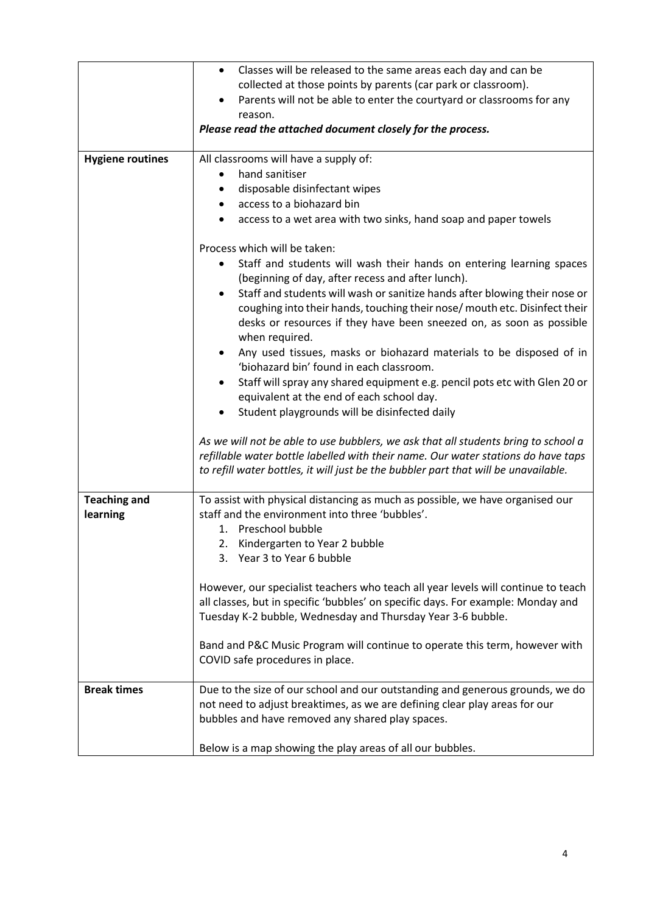|                                 | Classes will be released to the same areas each day and can be<br>$\bullet$                                                                                                                                                                                    |
|---------------------------------|----------------------------------------------------------------------------------------------------------------------------------------------------------------------------------------------------------------------------------------------------------------|
|                                 | collected at those points by parents (car park or classroom).                                                                                                                                                                                                  |
|                                 | Parents will not be able to enter the courtyard or classrooms for any                                                                                                                                                                                          |
|                                 | reason.                                                                                                                                                                                                                                                        |
|                                 | Please read the attached document closely for the process.                                                                                                                                                                                                     |
| <b>Hygiene routines</b>         | All classrooms will have a supply of:                                                                                                                                                                                                                          |
|                                 | hand sanitiser                                                                                                                                                                                                                                                 |
|                                 | disposable disinfectant wipes                                                                                                                                                                                                                                  |
|                                 | access to a biohazard bin                                                                                                                                                                                                                                      |
|                                 | access to a wet area with two sinks, hand soap and paper towels                                                                                                                                                                                                |
|                                 | Process which will be taken:                                                                                                                                                                                                                                   |
|                                 | Staff and students will wash their hands on entering learning spaces<br>(beginning of day, after recess and after lunch).                                                                                                                                      |
|                                 | Staff and students will wash or sanitize hands after blowing their nose or<br>coughing into their hands, touching their nose/ mouth etc. Disinfect their<br>desks or resources if they have been sneezed on, as soon as possible<br>when required.             |
|                                 | Any used tissues, masks or biohazard materials to be disposed of in<br>'biohazard bin' found in each classroom.                                                                                                                                                |
|                                 | Staff will spray any shared equipment e.g. pencil pots etc with Glen 20 or<br>equivalent at the end of each school day.                                                                                                                                        |
|                                 | Student playgrounds will be disinfected daily                                                                                                                                                                                                                  |
|                                 | As we will not be able to use bubblers, we ask that all students bring to school a<br>refillable water bottle labelled with their name. Our water stations do have taps<br>to refill water bottles, it will just be the bubbler part that will be unavailable. |
| <b>Teaching and</b><br>learning | To assist with physical distancing as much as possible, we have organised our<br>staff and the environment into three 'bubbles'.                                                                                                                               |
|                                 | 1. Preschool bubble                                                                                                                                                                                                                                            |
|                                 | 2. Kindergarten to Year 2 bubble                                                                                                                                                                                                                               |
|                                 | 3. Year 3 to Year 6 bubble                                                                                                                                                                                                                                     |
|                                 | However, our specialist teachers who teach all year levels will continue to teach<br>all classes, but in specific 'bubbles' on specific days. For example: Monday and<br>Tuesday K-2 bubble, Wednesday and Thursday Year 3-6 bubble.                           |
|                                 |                                                                                                                                                                                                                                                                |
|                                 | Band and P&C Music Program will continue to operate this term, however with<br>COVID safe procedures in place.                                                                                                                                                 |
| <b>Break times</b>              | Due to the size of our school and our outstanding and generous grounds, we do                                                                                                                                                                                  |
|                                 | not need to adjust breaktimes, as we are defining clear play areas for our                                                                                                                                                                                     |
|                                 | bubbles and have removed any shared play spaces.                                                                                                                                                                                                               |
|                                 |                                                                                                                                                                                                                                                                |
|                                 | Below is a map showing the play areas of all our bubbles.                                                                                                                                                                                                      |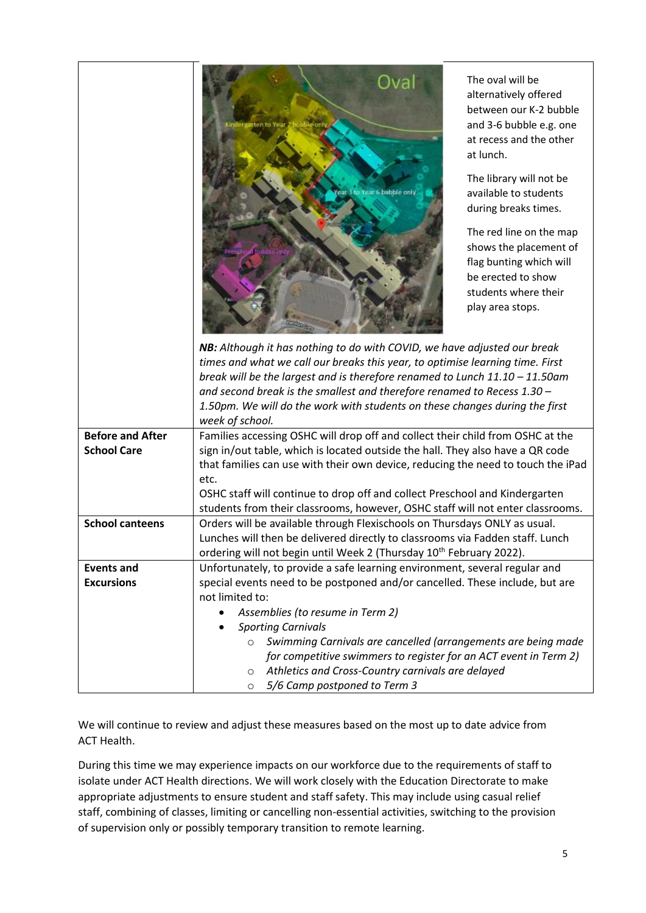|                         | The oval will be<br>alternatively offered<br>between our K-2 bubble<br>and 3-6 bubble e.g. one<br>at recess and the other<br>at lunch.<br>The library will not be<br>available to students<br>during breaks times.<br>The red line on the map<br>shows the placement of<br>flag bunting which will<br>be erected to show<br>students where their<br>play area stops.<br>NB: Although it has nothing to do with COVID, we have adjusted our break<br>times and what we call our breaks this year, to optimise learning time. First<br>break will be the largest and is therefore renamed to Lunch $11.10 - 11.50$ am<br>and second break is the smallest and therefore renamed to Recess 1.30 -<br>1.50pm. We will do the work with students on these changes during the first<br>week of school. |  |
|-------------------------|--------------------------------------------------------------------------------------------------------------------------------------------------------------------------------------------------------------------------------------------------------------------------------------------------------------------------------------------------------------------------------------------------------------------------------------------------------------------------------------------------------------------------------------------------------------------------------------------------------------------------------------------------------------------------------------------------------------------------------------------------------------------------------------------------|--|
| <b>Before and After</b> | Families accessing OSHC will drop off and collect their child from OSHC at the                                                                                                                                                                                                                                                                                                                                                                                                                                                                                                                                                                                                                                                                                                                   |  |
| <b>School Care</b>      | sign in/out table, which is located outside the hall. They also have a QR code                                                                                                                                                                                                                                                                                                                                                                                                                                                                                                                                                                                                                                                                                                                   |  |
|                         | that families can use with their own device, reducing the need to touch the iPad                                                                                                                                                                                                                                                                                                                                                                                                                                                                                                                                                                                                                                                                                                                 |  |
|                         | etc.                                                                                                                                                                                                                                                                                                                                                                                                                                                                                                                                                                                                                                                                                                                                                                                             |  |
|                         | OSHC staff will continue to drop off and collect Preschool and Kindergarten                                                                                                                                                                                                                                                                                                                                                                                                                                                                                                                                                                                                                                                                                                                      |  |
|                         | students from their classrooms, however, OSHC staff will not enter classrooms.                                                                                                                                                                                                                                                                                                                                                                                                                                                                                                                                                                                                                                                                                                                   |  |
| <b>School canteens</b>  | Orders will be available through Flexischools on Thursdays ONLY as usual.                                                                                                                                                                                                                                                                                                                                                                                                                                                                                                                                                                                                                                                                                                                        |  |
|                         | Lunches will then be delivered directly to classrooms via Fadden staff. Lunch                                                                                                                                                                                                                                                                                                                                                                                                                                                                                                                                                                                                                                                                                                                    |  |
|                         | ordering will not begin until Week 2 (Thursday 10 <sup>th</sup> February 2022).                                                                                                                                                                                                                                                                                                                                                                                                                                                                                                                                                                                                                                                                                                                  |  |
| <b>Events and</b>       | Unfortunately, to provide a safe learning environment, several regular and                                                                                                                                                                                                                                                                                                                                                                                                                                                                                                                                                                                                                                                                                                                       |  |
| <b>Excursions</b>       | special events need to be postponed and/or cancelled. These include, but are                                                                                                                                                                                                                                                                                                                                                                                                                                                                                                                                                                                                                                                                                                                     |  |
|                         | not limited to:                                                                                                                                                                                                                                                                                                                                                                                                                                                                                                                                                                                                                                                                                                                                                                                  |  |
|                         | Assemblies (to resume in Term 2)                                                                                                                                                                                                                                                                                                                                                                                                                                                                                                                                                                                                                                                                                                                                                                 |  |
|                         | <b>Sporting Carnivals</b>                                                                                                                                                                                                                                                                                                                                                                                                                                                                                                                                                                                                                                                                                                                                                                        |  |
|                         | Swimming Carnivals are cancelled (arrangements are being made<br>$\circ$                                                                                                                                                                                                                                                                                                                                                                                                                                                                                                                                                                                                                                                                                                                         |  |
|                         | for competitive swimmers to register for an ACT event in Term 2)                                                                                                                                                                                                                                                                                                                                                                                                                                                                                                                                                                                                                                                                                                                                 |  |
|                         | Athletics and Cross-Country carnivals are delayed<br>$\circ$                                                                                                                                                                                                                                                                                                                                                                                                                                                                                                                                                                                                                                                                                                                                     |  |
|                         | 5/6 Camp postponed to Term 3<br>$\circ$                                                                                                                                                                                                                                                                                                                                                                                                                                                                                                                                                                                                                                                                                                                                                          |  |

We will continue to review and adjust these measures based on the most up to date advice from ACT Health.

During this time we may experience impacts on our workforce due to the requirements of staff to isolate under ACT Health directions. We will work closely with the Education Directorate to make appropriate adjustments to ensure student and staff safety. This may include using casual relief staff, combining of classes, limiting or cancelling non-essential activities, switching to the provision of supervision only or possibly temporary transition to remote learning.